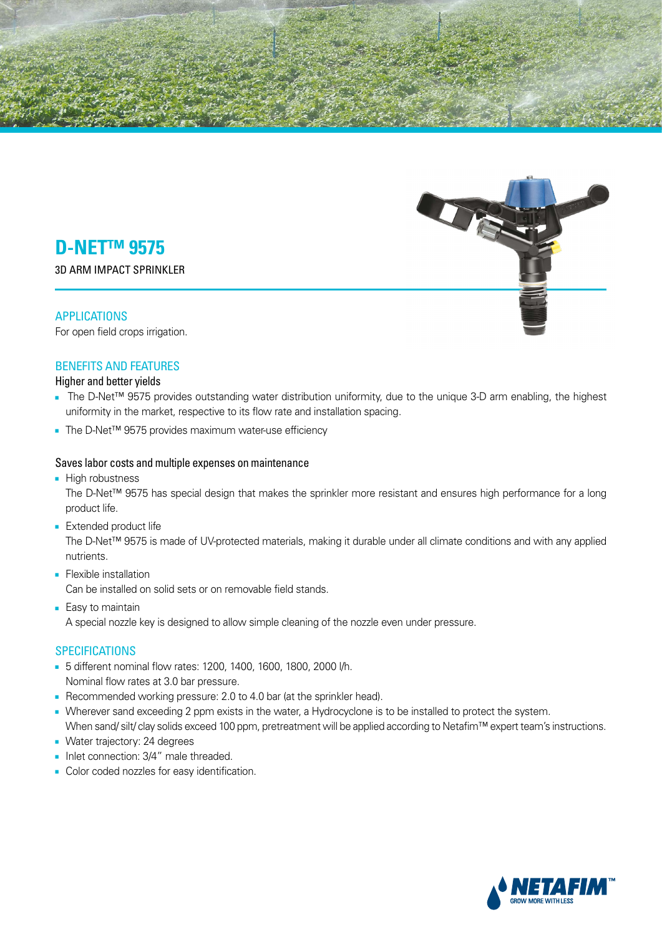

**3D ARM IMPACT SPRINKLER** 

## APPLICATIONS

For open field crops irrigation.

## **BENEFITS AND FEATURES**

Higher and better yields

- The D-Net<sup>™</sup> 9575 provides outstanding water distribution uniformity, due to the unique 3-D arm enabling, the highest uniformity in the market, respective to its flow rate and installation spacing.
- The D-Net<sup>TM</sup> 9575 provides maximum water-use efficiency

### Saves labor costs and multiple expenses on maintenance

■ High robustness

The D-Net™ 9575 has special design that makes the sprinkler more resistant and ensures high performance for a long product life.

■ Extended product life

The D-Net<sup>™</sup> 9575 is made of UV-protected materials, making it durable under all climate conditions and with any applied .nutrients

- Flexible installation Can be installed on solid sets or on removable field stands.
- Easy to maintain A special nozzle key is designed to allow simple cleaning of the nozzle even under pressure.

### **SPECIFICATIONS**

- 5 different nominal flow rates: 1200, 1400, 1600, 1800, 2000 l/h. Nominal flow rates at 3.0 bar pressure.
- Recommended working pressure: 2.0 to 4.0 bar (at the sprinkler head).
- . Wherever sand exceeding 2 ppm exists in the water, a Hydrocyclone is to be installed to protect the system. When sand/silt/clay solids exceed 100 ppm, pretreatment will be applied according to Netafim™ expert team's instructions.
- Water trajectory: 24 degrees
- Inlet connection: 3/4" male threaded.
- Color coded nozzles for easy identification.

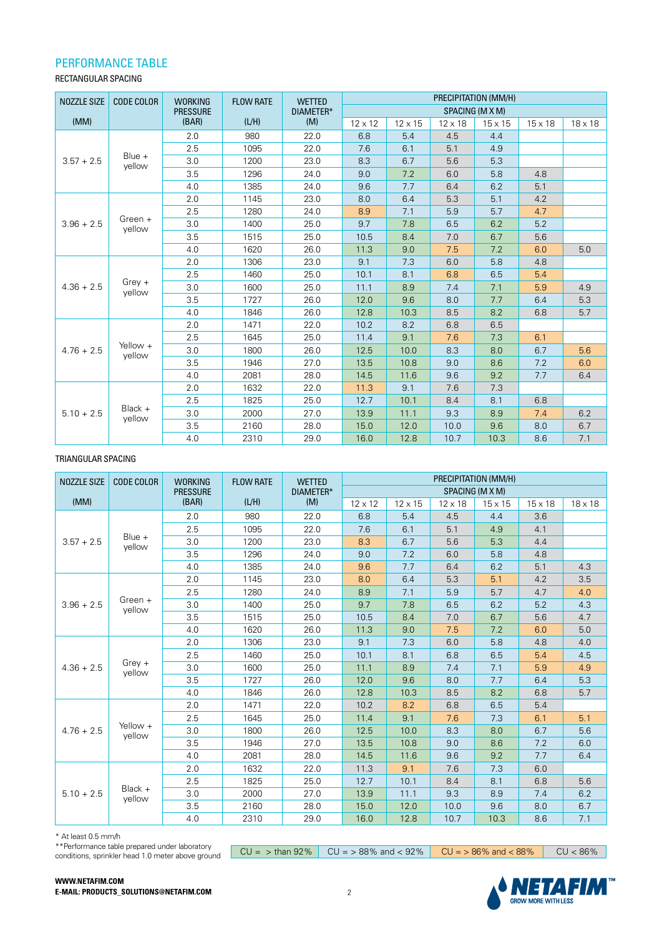### PERFORMANCE TABLE

#### RECTANGULAR SPACING

| <b>NOZZLE SIZE</b> | <b>CODE COLOR</b>   | <b>WORKING</b>  | <b>FLOW RATE</b> | <b>WETTED</b> | PRECIPITATION (MM/H) |                |                |                |                |                |
|--------------------|---------------------|-----------------|------------------|---------------|----------------------|----------------|----------------|----------------|----------------|----------------|
|                    |                     | <b>PRESSURE</b> |                  | DIAMETER*     | SPACING (M X M)      |                |                |                |                |                |
| (MM)               |                     | (BAR)           | (L/H)            | (M)           | $12 \times 12$       | $12 \times 15$ | $12 \times 18$ | $15 \times 15$ | $15 \times 18$ | $18 \times 18$ |
|                    |                     | 2.0             | 980              | 22.0          | 6.8                  | 5.4            | 4.5            | 4.4            |                |                |
|                    |                     | 2.5             | 1095             | 22.0          | 7.6                  | 6.1            | 5.1            | 4.9            |                |                |
| $3.57 + 2.5$       | Blue +<br>vellow    | 3.0             | 1200             | 23.0          | 8.3                  | 6.7            | 5.6            | 5.3            |                |                |
|                    |                     | 3.5             | 1296             | 24.0          | 9.0                  | 7.2            | 6.0            | 5.8            | 4.8            |                |
|                    |                     | 4.0             | 1385             | 24.0          | 9.6                  | 7.7            | 6.4            | 6.2            | 5.1            |                |
|                    |                     | 2.0             | 1145             | 23.0          | 8.0                  | 6.4            | 5.3            | 5.1            | 4.2            |                |
|                    |                     | 2.5             | 1280             | 24.0          | 8.9                  | 7.1            | 5.9            | 5.7            | 4.7            |                |
| $3.96 + 2.5$       | Green $+$<br>vellow | 3.0             | 1400             | 25.0          | 9.7                  | 7.8            | 6.5            | 6.2            | 5.2            |                |
|                    |                     | 3.5             | 1515             | 25.0          | 10.5                 | 8.4            | 7.0            | 6.7            | 5.6            |                |
|                    |                     | 4.0             | 1620             | 26.0          | 11.3                 | 9.0            | 7.5            | 7.2            | 6.0            | 5.0            |
|                    | $Grey +$<br>yellow  | 2.0             | 1306             | 23.0          | 9.1                  | 7.3            | 6.0            | 5.8            | 4.8            |                |
|                    |                     | 2.5             | 1460             | 25.0          | 10.1                 | 8.1            | 6.8            | 6.5            | 5.4            |                |
| $4.36 + 2.5$       |                     | 3.0             | 1600             | 25.0          | 11.1                 | 8.9            | 7.4            | 7.1            | 5.9            | 4.9            |
|                    |                     | 3.5             | 1727             | 26.0          | 12.0                 | 9.6            | 8.0            | 7.7            | 6.4            | 5.3            |
|                    |                     | 4.0             | 1846             | 26.0          | 12.8                 | 10.3           | 8.5            | 8.2            | 6.8            | 5.7            |
|                    | Yellow +<br>vellow  | 2.0             | 1471             | 22.0          | 10.2                 | 8.2            | 6.8            | 6.5            |                |                |
|                    |                     | 2.5             | 1645             | 25.0          | 11.4                 | 9.1            | 7.6            | 7.3            | 6.1            |                |
| $4.76 + 2.5$       |                     | 3.0             | 1800             | 26.0          | 12.5                 | 10.0           | 8.3            | 8.0            | 6.7            | 5.6            |
|                    |                     | 3.5             | 1946             | 27.0          | 13.5                 | 10.8           | 9.0            | 8.6            | 7.2            | 6.0            |
|                    |                     | 4.0             | 2081             | 28.0          | 14.5                 | 11.6           | 9.6            | 9.2            | 7.7            | 6.4            |
|                    |                     | 2.0             | 1632             | 22.0          | 11.3                 | 9.1            | 7.6            | 7.3            |                |                |
|                    |                     | 2.5             | 1825             | 25.0          | 12.7                 | 10.1           | 8.4            | 8.1            | 6.8            |                |
| $5.10 + 2.5$       | Black $+$<br>yellow | 3.0             | 2000             | 27.0          | 13.9                 | 11.1           | 9.3            | 8.9            | 7.4            | 6.2            |
|                    |                     | 3.5             | 2160             | 28.0          | 15.0                 | 12.0           | 10.0           | 9.6            | 8.0            | 6.7            |
|                    |                     | 4.0             | 2310             | 29.0          | 16.0                 | 12.8           | 10.7           | 10.3           | 8.6            | 7.1            |

#### TRIANGULAR SPACING

| <b>NOZZLE SIZE</b> | <b>CODE COLOR</b>   | <b>WORKING</b>  | <b>FLOW RATE</b> | <b>WETTED</b> | PRECIPITATION (MM/H)<br>SPACING (M X M) |                |                |                |                |                |
|--------------------|---------------------|-----------------|------------------|---------------|-----------------------------------------|----------------|----------------|----------------|----------------|----------------|
|                    |                     | <b>PRESSURE</b> |                  | DIAMETER*     |                                         |                |                |                |                |                |
| (MM)               |                     | (BAR)           | (L/H)            | (M)           | $12 \times 12$                          | $12 \times 15$ | $12 \times 18$ | $15 \times 15$ | $15 \times 18$ | $18 \times 18$ |
|                    |                     | 2.0             | 980              | 22.0          | 6.8                                     | 5.4            | 4.5            | 4.4            | 3.6            |                |
|                    |                     | 2.5             | 1095             | 22.0          | 7.6                                     | 6.1            | 5.1            | 4.9            | 4.1            |                |
| $3.57 + 2.5$       | Blue +<br>yellow    | 3.0             | 1200             | 23.0          | 8.3                                     | 6.7            | 5.6            | 5.3            | 4.4            |                |
|                    |                     | 3.5             | 1296             | 24.0          | 9.0                                     | 7.2            | 6.0            | 5.8            | 4.8            |                |
|                    |                     | 4.0             | 1385             | 24.0          | 9.6                                     | 7.7            | 6.4            | 6.2            | 5.1            | 4.3            |
|                    |                     | 2.0             | 1145             | 23.0          | 8.0                                     | 6.4            | 5.3            | 5.1            | 4.2            | 3.5            |
|                    |                     | 2.5             | 1280             | 24.0          | 8.9                                     | 7.1            | 5.9            | 5.7            | 4.7            | 4.0            |
| $3.96 + 2.5$       | Green +<br>yellow   | 3.0             | 1400             | 25.0          | 9.7                                     | 7.8            | 6.5            | 6.2            | 5.2            | 4.3            |
|                    |                     | 3.5             | 1515             | 25.0          | 10.5                                    | 8.4            | 7.0            | 6.7            | 5.6            | 4.7            |
|                    |                     | 4.0             | 1620             | 26.0          | 11.3                                    | 9.0            | 7.5            | 7.2            | 6.0            | 5.0            |
|                    | $Grey +$<br>yellow  | 2.0             | 1306             | 23.0          | 9.1                                     | 7.3            | 6.0            | 5.8            | 4.8            | 4.0            |
|                    |                     | 2.5             | 1460             | 25.0          | 10.1                                    | 8.1            | 6.8            | 6.5            | 5.4            | 4.5            |
| $4.36 + 2.5$       |                     | 3.0             | 1600             | 25.0          | 11.1                                    | 8.9            | 7.4            | 7.1            | 5.9            | 4.9            |
|                    |                     | 3.5             | 1727             | 26.0          | 12.0                                    | 9.6            | 8.0            | 7.7            | 6.4            | 5.3            |
|                    |                     | 4.0             | 1846             | 26.0          | 12.8                                    | 10.3           | 8.5            | 8.2            | 6.8            | 5.7            |
|                    |                     | 2.0             | 1471             | 22.0          | 10.2                                    | 8.2            | 6.8            | 6.5            | 5.4            |                |
|                    |                     | 2.5             | 1645             | 25.0          | 11.4                                    | 9.1            | 7.6            | 7.3            | 6.1            | 5.1            |
| $4.76 + 2.5$       | Yellow +<br>yellow  | 3.0             | 1800             | 26.0          | 12.5                                    | 10.0           | 8.3            | 8.0            | 6.7            | 5.6            |
|                    |                     | 3.5             | 1946             | 27.0          | 13.5                                    | 10.8           | 9.0            | 8.6            | 7.2            | 6.0            |
|                    |                     | 4.0             | 2081             | 28.0          | 14.5                                    | 11.6           | 9.6            | 9.2            | 7.7            | 6.4            |
|                    |                     | 2.0             | 1632             | 22.0          | 11.3                                    | 9.1            | 7.6            | 7.3            | 6.0            |                |
|                    |                     | 2.5             | 1825             | 25.0          | 12.7                                    | 10.1           | 8.4            | 8.1            | 6.8            | 5.6            |
| $5.10 + 2.5$       | $Black +$<br>yellow | 3.0             | 2000             | 27.0          | 13.9                                    | 11.1           | 9.3            | 8.9            | 7.4            | 6.2            |
|                    |                     | 3.5             | 2160             | 28.0          | 15.0                                    | 12.0           | 10.0           | 9.6            | 8.0            | 6.7            |
|                    |                     | 4.0             | 2310             | 29.0          | 16.0                                    | 12.8           | 10.7           | 10.3           | 8.6            | 7.1            |

 $*$  At least 0.5 mm/h

WWW.NETAFIM.COM

\*\*Performance table prepared under laboratory conditions, sprinkler head 1.0 meter above ground  $SU = 86\%$   $SU = 88\%$  and  $88\%$   $SU = 86\%$  and  $88\%$   $SU = 86\%$